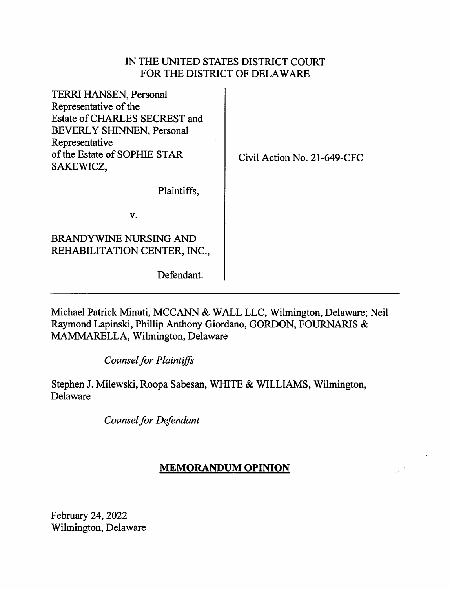## IN THE UNITED STATES DISTRICT COURT FOR THE DISTRICT OF DELAWARE

| TERRI HANSEN, Personal<br>Representative of the<br>Estate of CHARLES SECREST and<br><b>BEVERLY SHINNEN, Personal</b><br>Representative<br>of the Estate of SOPHIE STAR<br>SAKEWICZ, | Civil Action No. 21-649-CFC |
|-------------------------------------------------------------------------------------------------------------------------------------------------------------------------------------|-----------------------------|
| Plaintiffs,                                                                                                                                                                         |                             |
| V.                                                                                                                                                                                  |                             |
| BRANDYWINE NURSING AND<br>REHABILITATION CENTER, INC.,                                                                                                                              |                             |
| Defendant.                                                                                                                                                                          |                             |

Michael Patrick Minuti, MCCANN & WALL LLC, Wilmington, Delaware; Neil Raymond Lapinski, Phillip Anthony Giordano, GORDON, FOURNARIS & MAMMARELLA, Wilmington, Delaware

*Counsel for Plaintiffs* 

Stephen J. Milewski, Roopa Sabesan, WHITE & WILLIAMS, Wilmington, Delaware

*Counsel for Defendant* 

## **MEMORANDUM OPINION**

 $\mathcal{L}$ 

February 24, 2022 Wilmington, Delaware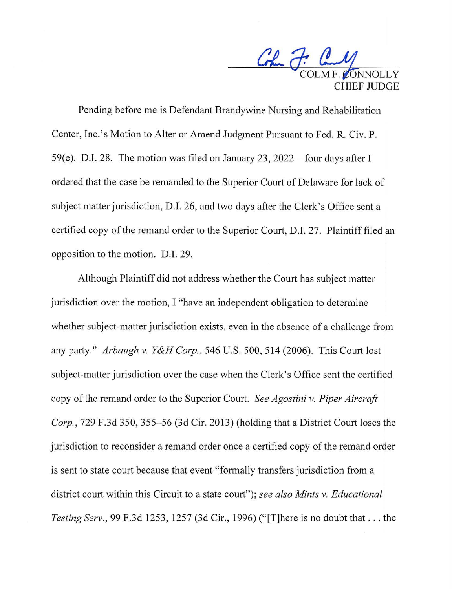Colombia P: Candy HIEF JUDGE

Pending before me is Defendant Brandywine Nursing and Rehabilitation Center, Inc.'s Motion to Alter or Amend Judgment Pursuant to Fed. R. Civ. P. 59(e). D.I. 28. The motion was filed on January 23, 2022—four days after I ordered that the case be remanded to the Superior Court of Delaware for lack of subject matter jurisdiction, D.I. 26, and two days after the Clerk's Office sent a certified copy of the remand order to the Superior Court, D.I. 27. Plaintiff filed an opposition to the motion. D.I. 29.

Although Plaintiff did not address whether the Court has subject matter jurisdiction over the motion, I "have an independent obligation to determine whether subject-matter jurisdiction exists, even in the absence of a challenge from any party." *Arbaugh v. Y&H Corp.,* 546 U.S. 500,514 (2006). This Court lost subject-matter jurisdiction over the case when the Clerk's Office sent the certified copy of the remand order to the Superior Court. *See Agostini v. Piper Aircraft Corp., 729 F.3d 350, 355–56 (3d Cir. 2013) (holding that a District Court loses the* jurisdiction to reconsider a remand order once a certified copy of the remand order is sent to state court because that event "formally transfers jurisdiction from a district court within this Circuit to a state court"); *see also Mints v. Educational Testing Serv.,* 99 F.3d 1253, 1257 (3d Cir., 1996) ("[T]here is no doubt that ... the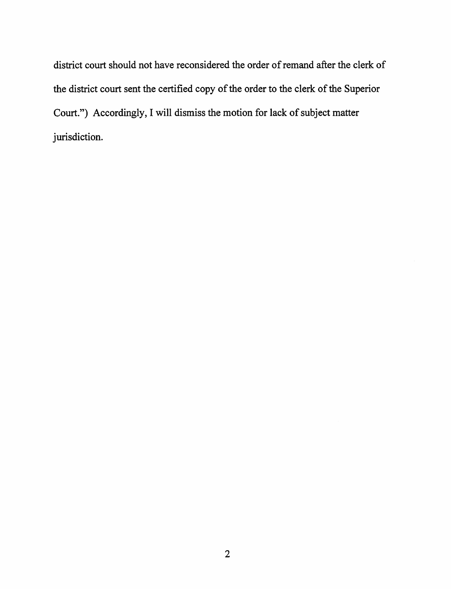district court should not have reconsidered the order of remand after the clerk of the district court sent the certified copy of the order to the clerk of the Superior Court.") Accordingly, I will dismiss the motion for lack of subject matter jurisdiction.